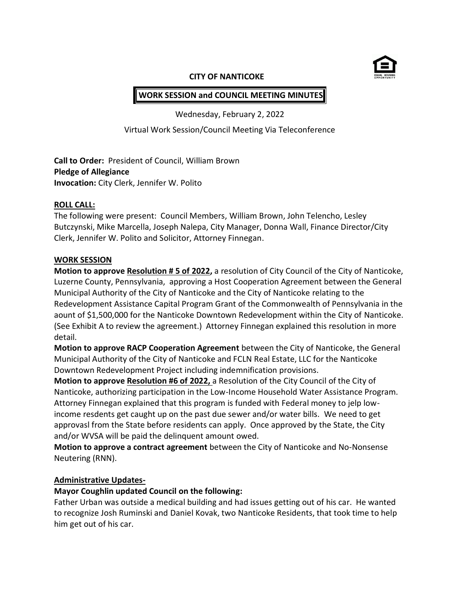

#### **CITY OF NANTICOKE**

# **WORK SESSION and COUNCIL MEETING MINUTES**

Wednesday, February 2, 2022

Virtual Work Session/Council Meeting Via Teleconference

**Call to Order:** President of Council, William Brown **Pledge of Allegiance Invocation:** City Clerk, Jennifer W. Polito

#### **ROLL CALL:**

The following were present: Council Members, William Brown, John Telencho, Lesley Butczynski, Mike Marcella, Joseph Nalepa, City Manager, Donna Wall, Finance Director/City Clerk, Jennifer W. Polito and Solicitor, Attorney Finnegan.

#### **WORK SESSION**

**Motion to approve Resolution # 5 of 2022,** a resolution of City Council of the City of Nanticoke, Luzerne County, Pennsylvania, approving a Host Cooperation Agreement between the General Municipal Authority of the City of Nanticoke and the City of Nanticoke relating to the Redevelopment Assistance Capital Program Grant of the Commonwealth of Pennsylvania in the aount of \$1,500,000 for the Nanticoke Downtown Redevelopment within the City of Nanticoke. (See Exhibit A to review the agreement.) Attorney Finnegan explained this resolution in more detail.

**Motion to approve RACP Cooperation Agreement** between the City of Nanticoke, the General Municipal Authority of the City of Nanticoke and FCLN Real Estate, LLC for the Nanticoke Downtown Redevelopment Project including indemnification provisions.

**Motion to approve Resolution #6 of 2022,** a Resolution of the City Council of the City of Nanticoke, authorizing participation in the Low-Income Household Water Assistance Program. Attorney Finnegan explained that this program is funded with Federal money to jelp lowincome resdents get caught up on the past due sewer and/or water bills. We need to get approvasl from the State before residents can apply. Once approved by the State, the City and/or WVSA will be paid the delinquent amount owed.

**Motion to approve a contract agreement** between the City of Nanticoke and No-Nonsense Neutering (RNN).

#### **Administrative Updates-**

#### **Mayor Coughlin updated Council on the following:**

Father Urban was outside a medical building and had issues getting out of his car. He wanted to recognize Josh Ruminski and Daniel Kovak, two Nanticoke Residents, that took time to help him get out of his car.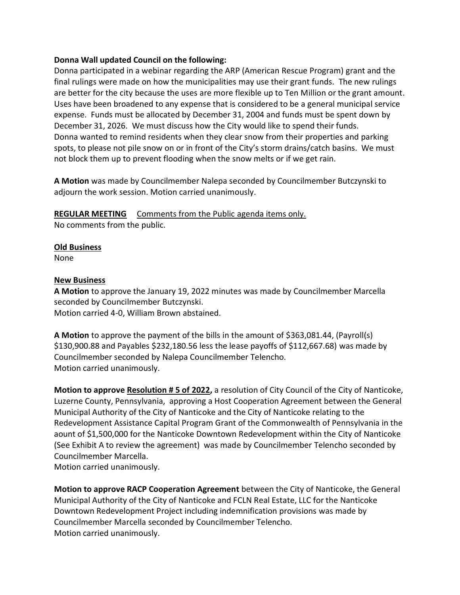#### **Donna Wall updated Council on the following:**

Donna participated in a webinar regarding the ARP (American Rescue Program) grant and the final rulings were made on how the municipalities may use their grant funds. The new rulings are better for the city because the uses are more flexible up to Ten Million or the grant amount. Uses have been broadened to any expense that is considered to be a general municipal service expense. Funds must be allocated by December 31, 2004 and funds must be spent down by December 31, 2026. We must discuss how the City would like to spend their funds. Donna wanted to remind residents when they clear snow from their properties and parking spots, to please not pile snow on or in front of the City's storm drains/catch basins. We must not block them up to prevent flooding when the snow melts or if we get rain.

**A Motion** was made by Councilmember Nalepa seconded by Councilmember Butczynski to adjourn the work session. Motion carried unanimously.

**REGULAR MEETING** Comments from the Public agenda items only.

No comments from the public.

#### **Old Business**

None

#### **New Business**

**A Motion** to approve the January 19, 2022 minutes was made by Councilmember Marcella seconded by Councilmember Butczynski. Motion carried 4-0, William Brown abstained.

**A Motion** to approve the payment of the bills in the amount of \$363,081.44, (Payroll(s) \$130,900.88 and Payables \$232,180.56 less the lease payoffs of \$112,667.68) was made by Councilmember seconded by Nalepa Councilmember Telencho. Motion carried unanimously.

**Motion to approve Resolution # 5 of 2022,** a resolution of City Council of the City of Nanticoke, Luzerne County, Pennsylvania, approving a Host Cooperation Agreement between the General Municipal Authority of the City of Nanticoke and the City of Nanticoke relating to the Redevelopment Assistance Capital Program Grant of the Commonwealth of Pennsylvania in the aount of \$1,500,000 for the Nanticoke Downtown Redevelopment within the City of Nanticoke (See Exhibit A to review the agreement) was made by Councilmember Telencho seconded by Councilmember Marcella. Motion carried unanimously.

**Motion to approve RACP Cooperation Agreement** between the City of Nanticoke, the General Municipal Authority of the City of Nanticoke and FCLN Real Estate, LLC for the Nanticoke Downtown Redevelopment Project including indemnification provisions was made by Councilmember Marcella seconded by Councilmember Telencho. Motion carried unanimously.